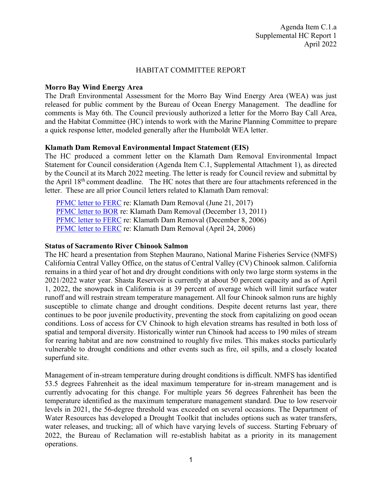### HABITAT COMMITTEE REPORT

### **Morro Bay Wind Energy Area**

The Draft Environmental Assessment for the Morro Bay Wind Energy Area (WEA) was just released for public comment by the Bureau of Ocean Energy Management. The deadline for comments is May 6th. The Council previously authorized a letter for the Morro Bay Call Area, and the Habitat Committee (HC) intends to work with the Marine Planning Committee to prepare a quick response letter, modeled generally after the Humboldt WEA letter.

### **Klamath Dam Removal Environmental Impact Statement (EIS)**

The HC produced a comment letter on the Klamath Dam Removal Environmental Impact Statement for Council consideration (Agenda Item C.1, Supplemental Attachment 1), as directed by the Council at its March 2022 meeting. The letter is ready for Council review and submittal by the April 18th comment deadline. The HC notes that there are four attachments referenced in the letter. These are all prior Council letters related to Klamath Dam removal:

[PFMC letter to FERC](https://www.pcouncil.org/documents/2017/06/e1_att2_klamath_ltr_jun2017bb.pdf/) re: Klamath Dam Removal (June 21, 2017) [PFMC letter to BOR](https://www.pcouncil.org/documents/2011/11/g-habitat-november-2011.pdf/) re: Klamath Dam Removal (December 13, 2011) [PFMC letter to FERC](https://www.pcouncil.org/documents/2006/11/e-habitat-november-2006.pdf/) re: Klamath Dam Removal (December 8, 2006) [PFMC letter to FERC](https://www.pcouncil.org/documents/2006/04/c-habitat-april-2006.pdf/) re: Klamath Dam Removal (April 24, 2006)

### **Status of Sacramento River Chinook Salmon**

The HC heard a presentation from Stephen Maurano, National Marine Fisheries Service (NMFS) California Central Valley Office, on the status of Central Valley (CV) Chinook salmon. California remains in a third year of hot and dry drought conditions with only two large storm systems in the 2021/2022 water year. Shasta Reservoir is currently at about 50 percent capacity and as of April 1, 2022, the snowpack in California is at 39 percent of average which will limit surface water runoff and will restrain stream temperature management. All four Chinook salmon runs are highly susceptible to climate change and drought conditions. Despite decent returns last year, there continues to be poor juvenile productivity, preventing the stock from capitalizing on good ocean conditions. Loss of access for CV Chinook to high elevation streams has resulted in both loss of spatial and temporal diversity. Historically winter run Chinook had access to 190 miles of stream for rearing habitat and are now constrained to roughly five miles. This makes stocks particularly vulnerable to drought conditions and other events such as fire, oil spills, and a closely located superfund site.

Management of in-stream temperature during drought conditions is difficult. NMFS has identified 53.5 degrees Fahrenheit as the ideal maximum temperature for in-stream management and is currently advocating for this change. For multiple years 56 degrees Fahrenheit has been the temperature identified as the maximum temperature management standard. Due to low reservoir levels in 2021, the 56-degree threshold was exceeded on several occasions. The Department of Water Resources has developed a Drought Toolkit that includes options such as water transfers, water releases, and trucking; all of which have varying levels of success. Starting February of 2022, the Bureau of Reclamation will re-establish habitat as a priority in its management operations.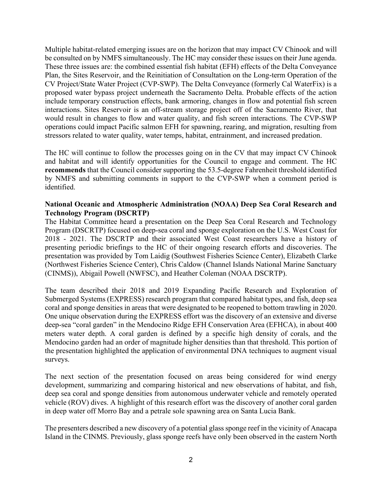Multiple habitat-related emerging issues are on the horizon that may impact CV Chinook and will be consulted on by NMFS simultaneously. The HC may consider these issues on their June agenda. These three issues are: the combined essential fish habitat (EFH) effects of the Delta Conveyance Plan, the Sites Reservoir, and the Reinitiation of Consultation on the Long-term Operation of the CV Project/State Water Project (CVP-SWP). The Delta Conveyance (formerly Cal WaterFix) is a proposed water bypass project underneath the Sacramento Delta. Probable effects of the action include temporary construction effects, bank armoring, changes in flow and potential fish screen interactions. Sites Reservoir is an off-stream storage project off of the Sacramento River, that would result in changes to flow and water quality, and fish screen interactions. The CVP-SWP operations could impact Pacific salmon EFH for spawning, rearing, and migration, resulting from stressors related to water quality, water temps, habitat, entrainment, and increased predation.

The HC will continue to follow the processes going on in the CV that may impact CV Chinook and habitat and will identify opportunities for the Council to engage and comment. The HC **recommends** that the Council consider supporting the 53.5-degree Fahrenheit threshold identified by NMFS and submitting comments in support to the CVP-SWP when a comment period is identified.

# **National Oceanic and Atmospheric Administration (NOAA) Deep Sea Coral Research and Technology Program (DSCRTP)**

The Habitat Committee heard a presentation on the Deep Sea Coral Research and Technology Program (DSCRTP) focused on deep-sea coral and sponge exploration on the U.S. West Coast for 2018 - 2021. The DSCRTP and their associated West Coast researchers have a history of presenting periodic briefings to the HC of their ongoing research efforts and discoveries. The presentation was provided by Tom Laidig (Southwest Fisheries Science Center), Elizabeth Clarke (Northwest Fisheries Science Center), Chris Caldow (Channel Islands National Marine Sanctuary (CINMS)), Abigail Powell (NWFSC), and Heather Coleman (NOAA DSCRTP).

The team described their 2018 and 2019 Expanding Pacific Research and Exploration of Submerged Systems (EXPRESS) research program that compared habitat types, and fish, deep sea coral and sponge densities in areas that were designated to be reopened to bottom trawling in 2020. One unique observation during the EXPRESS effort was the discovery of an extensive and diverse deep-sea "coral garden" in the Mendocino Ridge EFH Conservation Area (EFHCA), in about 400 meters water depth. A coral garden is defined by a specific high density of corals, and the Mendocino garden had an order of magnitude higher densities than that threshold. This portion of the presentation highlighted the application of environmental DNA techniques to augment visual surveys.

The next section of the presentation focused on areas being considered for wind energy development, summarizing and comparing historical and new observations of habitat, and fish, deep sea coral and sponge densities from autonomous underwater vehicle and remotely operated vehicle (ROV) dives. A highlight of this research effort was the discovery of another coral garden in deep water off Morro Bay and a petrale sole spawning area on Santa Lucia Bank.

The presenters described a new discovery of a potential glass sponge reef in the vicinity of Anacapa Island in the CINMS. Previously, glass sponge reefs have only been observed in the eastern North